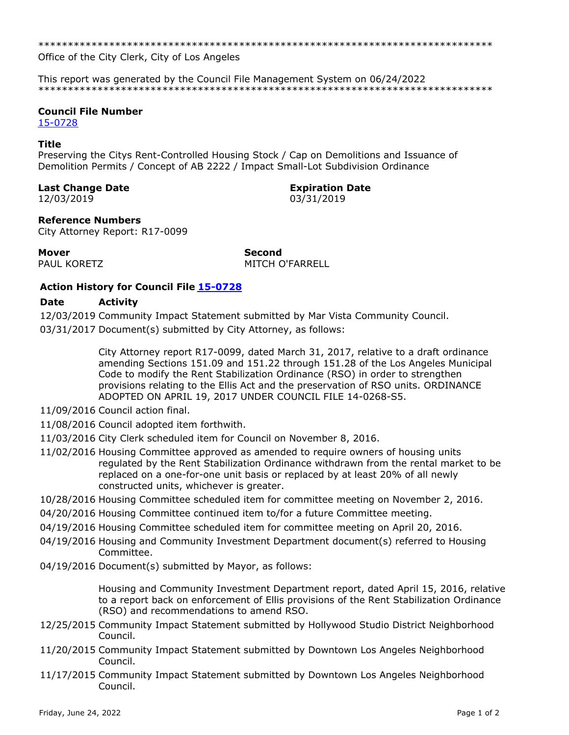Office of the City Clerk, City of Los Angeles

This report was generated by the Council File Management System on 06/24/2022 

## **Council File Number**

15-0728

### **Title**

Preserving the Citys Rent-Controlled Housing Stock / Cap on Demolitions and Issuance of Demolition Permits / Concept of AB 2222 / Impact Small-Lot Subdivision Ordinance

## **Last Change Date**

12/03/2019

**Expiration Date** 

03/31/2019

# **Reference Numbers**

City Attorney Report: R17-0099

**Mover** 

PAUL KORETZ

**Second MITCH O'FARRELL** 

# **Action History for Council File 15-0728**

#### **Date Activity**

12/03/2019 Community Impact Statement submitted by Mar Vista Community Council. 03/31/2017 Document(s) submitted by City Attorney, as follows:

> City Attorney report R17-0099, dated March 31, 2017, relative to a draft ordinance amending Sections 151.09 and 151.22 through 151.28 of the Los Angeles Municipal Code to modify the Rent Stabilization Ordinance (RSO) in order to strengthen provisions relating to the Ellis Act and the preservation of RSO units. ORDINANCE ADOPTED ON APRIL 19, 2017 UNDER COUNCIL FILE 14-0268-S5.

- 11/09/2016 Council action final.
- 11/08/2016 Council adopted item forthwith.
- 11/03/2016 City Clerk scheduled item for Council on November 8, 2016.
- 11/02/2016 Housing Committee approved as amended to require owners of housing units regulated by the Rent Stabilization Ordinance withdrawn from the rental market to be replaced on a one-for-one unit basis or replaced by at least 20% of all newly constructed units, whichever is greater.
- 10/28/2016 Housing Committee scheduled item for committee meeting on November 2, 2016.
- 04/20/2016 Housing Committee continued item to/for a future Committee meeting.
- 04/19/2016 Housing Committee scheduled item for committee meeting on April 20, 2016.
- 04/19/2016 Housing and Community Investment Department document(s) referred to Housing Committee.
- 04/19/2016 Document(s) submitted by Mayor, as follows:

Housing and Community Investment Department report, dated April 15, 2016, relative to a report back on enforcement of Ellis provisions of the Rent Stabilization Ordinance (RSO) and recommendations to amend RSO.

- 12/25/2015 Community Impact Statement submitted by Hollywood Studio District Neighborhood Council.
- 11/20/2015 Community Impact Statement submitted by Downtown Los Angeles Neighborhood Council.
- 11/17/2015 Community Impact Statement submitted by Downtown Los Angeles Neighborhood Council.